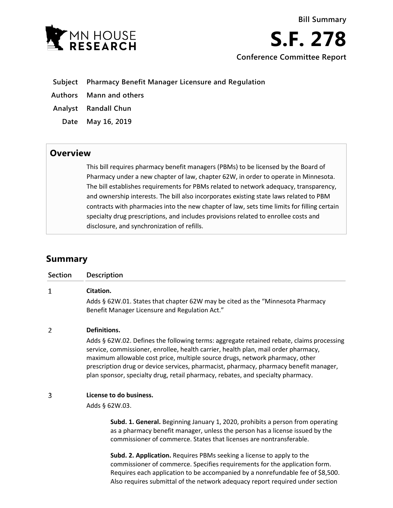**Bill Summary**

- **Subject Pharmacy Benefit Manager Licensure and Regulation**
- **Authors Mann and others**
- **Analyst Randall Chun**
	- **Date May 16, 2019**

## **Overview**

This bill requires pharmacy benefit managers (PBMs) to be licensed by the Board of Pharmacy under a new chapter of law, chapter 62W, in order to operate in Minnesota. The bill establishes requirements for PBMs related to network adequacy, transparency, and ownership interests. The bill also incorporates existing state laws related to PBM contracts with pharmacies into the new chapter of law, sets time limits for filling certain specialty drug prescriptions, and includes provisions related to enrollee costs and disclosure, and synchronization of refills.

# **Summary**

| Section | <b>Description</b>                                                                                                                                                                                                                                                                                                                                                                                                                                         |
|---------|------------------------------------------------------------------------------------------------------------------------------------------------------------------------------------------------------------------------------------------------------------------------------------------------------------------------------------------------------------------------------------------------------------------------------------------------------------|
| 1       | Citation.<br>Adds § 62W.01. States that chapter 62W may be cited as the "Minnesota Pharmacy<br>Benefit Manager Licensure and Regulation Act."                                                                                                                                                                                                                                                                                                              |
| 2       | Definitions.<br>Adds § 62W.02. Defines the following terms: aggregate retained rebate, claims processing<br>service, commissioner, enrollee, health carrier, health plan, mail order pharmacy,<br>maximum allowable cost price, multiple source drugs, network pharmacy, other<br>prescription drug or device services, pharmacist, pharmacy, pharmacy benefit manager,<br>plan sponsor, specialty drug, retail pharmacy, rebates, and specialty pharmacy. |
| 3       | License to do business.<br>Adds § 62W.03.<br>Subd. 1. General. Beginning January 1, 2020, prohibits a person from operating<br>as a pharmacy benefit manager, unless the person has a license issued by the<br>commissioner of commerce. States that licenses are nontransferable.                                                                                                                                                                         |
|         | Subd. 2. Application. Requires PBMs seeking a license to apply to the<br>commissioner of commerce. Specifies requirements for the application form.<br>Requires each application to be accompanied by a nonrefundable fee of \$8,500.                                                                                                                                                                                                                      |

Also requires submittal of the network adequacy report required under section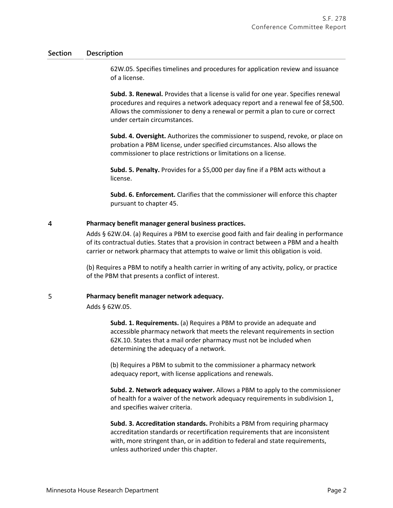62W.05. Specifies timelines and procedures for application review and issuance of a license.

**Subd. 3. Renewal.** Provides that a license is valid for one year. Specifies renewal procedures and requires a network adequacy report and a renewal fee of \$8,500. Allows the commissioner to deny a renewal or permit a plan to cure or correct under certain circumstances.

**Subd. 4. Oversight.** Authorizes the commissioner to suspend, revoke, or place on probation a PBM license, under specified circumstances. Also allows the commissioner to place restrictions or limitations on a license.

**Subd. 5. Penalty.** Provides for a \$5,000 per day fine if a PBM acts without a license.

**Subd. 6. Enforcement.** Clarifies that the commissioner will enforce this chapter pursuant to chapter 45.

#### 4 **Pharmacy benefit manager general business practices.**

Adds § 62W.04. (a) Requires a PBM to exercise good faith and fair dealing in performance of its contractual duties. States that a provision in contract between a PBM and a health carrier or network pharmacy that attempts to waive or limit this obligation is void.

(b) Requires a PBM to notify a health carrier in writing of any activity, policy, or practice of the PBM that presents a conflict of interest.

#### 5 **Pharmacy benefit manager network adequacy.**

Adds § 62W.05.

**Subd. 1. Requirements.** (a) Requires a PBM to provide an adequate and accessible pharmacy network that meets the relevant requirements in section 62K.10. States that a mail order pharmacy must not be included when determining the adequacy of a network.

(b) Requires a PBM to submit to the commissioner a pharmacy network adequacy report, with license applications and renewals.

**Subd. 2. Network adequacy waiver.** Allows a PBM to apply to the commissioner of health for a waiver of the network adequacy requirements in subdivision 1, and specifies waiver criteria.

**Subd. 3. Accreditation standards.** Prohibits a PBM from requiring pharmacy accreditation standards or recertification requirements that are inconsistent with, more stringent than, or in addition to federal and state requirements, unless authorized under this chapter.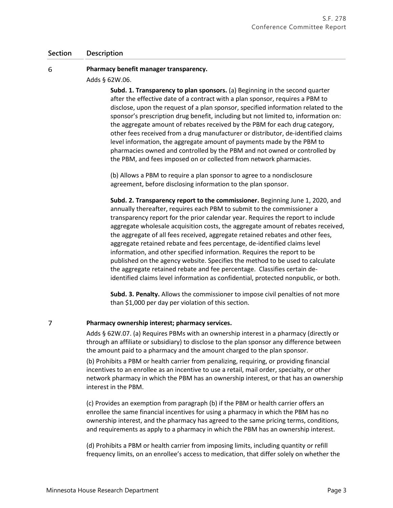#### 6 **Pharmacy benefit manager transparency.**

Adds § 62W.06.

**Subd. 1. Transparency to plan sponsors.** (a) Beginning in the second quarter after the effective date of a contract with a plan sponsor, requires a PBM to disclose, upon the request of a plan sponsor, specified information related to the sponsor's prescription drug benefit, including but not limited to, information on: the aggregate amount of rebates received by the PBM for each drug category, other fees received from a drug manufacturer or distributor, de-identified claims level information, the aggregate amount of payments made by the PBM to pharmacies owned and controlled by the PBM and not owned or controlled by the PBM, and fees imposed on or collected from network pharmacies.

(b) Allows a PBM to require a plan sponsor to agree to a nondisclosure agreement, before disclosing information to the plan sponsor.

**Subd. 2. Transparency report to the commissioner.** Beginning June 1, 2020, and annually thereafter, requires each PBM to submit to the commissioner a transparency report for the prior calendar year. Requires the report to include aggregate wholesale acquisition costs, the aggregate amount of rebates received, the aggregate of all fees received, aggregate retained rebates and other fees, aggregate retained rebate and fees percentage, de-identified claims level information, and other specified information. Requires the report to be published on the agency website. Specifies the method to be used to calculate the aggregate retained rebate and fee percentage. Classifies certain deidentified claims level information as confidential, protected nonpublic, or both.

**Subd. 3. Penalty.** Allows the commissioner to impose civil penalties of not more than \$1,000 per day per violation of this section.

#### $\overline{7}$ **Pharmacy ownership interest; pharmacy services.**

Adds § 62W.07. (a) Requires PBMs with an ownership interest in a pharmacy (directly or through an affiliate or subsidiary) to disclose to the plan sponsor any difference between the amount paid to a pharmacy and the amount charged to the plan sponsor.

(b) Prohibits a PBM or health carrier from penalizing, requiring, or providing financial incentives to an enrollee as an incentive to use a retail, mail order, specialty, or other network pharmacy in which the PBM has an ownership interest, or that has an ownership interest in the PBM.

(c) Provides an exemption from paragraph (b) if the PBM or health carrier offers an enrollee the same financial incentives for using a pharmacy in which the PBM has no ownership interest, and the pharmacy has agreed to the same pricing terms, conditions, and requirements as apply to a pharmacy in which the PBM has an ownership interest.

(d) Prohibits a PBM or health carrier from imposing limits, including quantity or refill frequency limits, on an enrollee's access to medication, that differ solely on whether the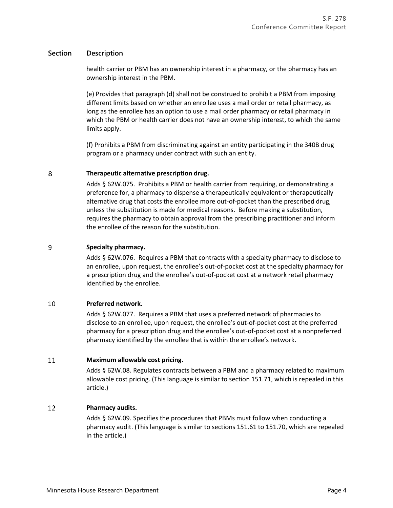health carrier or PBM has an ownership interest in a pharmacy, or the pharmacy has an ownership interest in the PBM.

(e) Provides that paragraph (d) shall not be construed to prohibit a PBM from imposing different limits based on whether an enrollee uses a mail order or retail pharmacy, as long as the enrollee has an option to use a mail order pharmacy or retail pharmacy in which the PBM or health carrier does not have an ownership interest, to which the same limits apply.

(f) Prohibits a PBM from discriminating against an entity participating in the 340B drug program or a pharmacy under contract with such an entity.

#### 8 **Therapeutic alternative prescription drug.**

Adds § 62W.075. Prohibits a PBM or health carrier from requiring, or demonstrating a preference for, a pharmacy to dispense a therapeutically equivalent or therapeutically alternative drug that costs the enrollee more out-of-pocket than the prescribed drug, unless the substitution is made for medical reasons. Before making a substitution, requires the pharmacy to obtain approval from the prescribing practitioner and inform the enrollee of the reason for the substitution.

#### 9 **Specialty pharmacy.**

Adds § 62W.076. Requires a PBM that contracts with a specialty pharmacy to disclose to an enrollee, upon request, the enrollee's out-of-pocket cost at the specialty pharmacy for a prescription drug and the enrollee's out-of-pocket cost at a network retail pharmacy identified by the enrollee.

#### 10 **Preferred network.**

Adds § 62W.077. Requires a PBM that uses a preferred network of pharmacies to disclose to an enrollee, upon request, the enrollee's out-of-pocket cost at the preferred pharmacy for a prescription drug and the enrollee's out-of-pocket cost at a nonpreferred pharmacy identified by the enrollee that is within the enrollee's network.

#### 11 **Maximum allowable cost pricing.**

Adds § 62W.08. Regulates contracts between a PBM and a pharmacy related to maximum allowable cost pricing. (This language is similar to section 151.71, which is repealed in this article.)

#### 12 **Pharmacy audits.**

Adds § 62W.09. Specifies the procedures that PBMs must follow when conducting a pharmacy audit. (This language is similar to sections 151.61 to 151.70, which are repealed in the article.)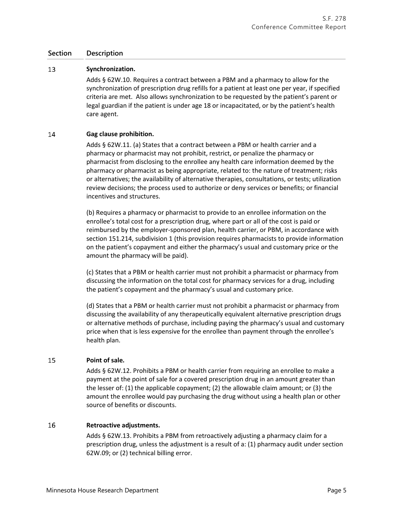#### 13 **Synchronization.**

Adds § 62W.10. Requires a contract between a PBM and a pharmacy to allow for the synchronization of prescription drug refills for a patient at least one per year, if specified criteria are met. Also allows synchronization to be requested by the patient's parent or legal guardian if the patient is under age 18 or incapacitated, or by the patient's health care agent.

#### 14 **Gag clause prohibition.**

Adds § 62W.11. (a) States that a contract between a PBM or health carrier and a pharmacy or pharmacist may not prohibit, restrict, or penalize the pharmacy or pharmacist from disclosing to the enrollee any health care information deemed by the pharmacy or pharmacist as being appropriate, related to: the nature of treatment; risks or alternatives; the availability of alternative therapies, consultations, or tests; utilization review decisions; the process used to authorize or deny services or benefits; or financial incentives and structures.

(b) Requires a pharmacy or pharmacist to provide to an enrollee information on the enrollee's total cost for a prescription drug, where part or all of the cost is paid or reimbursed by the employer-sponsored plan, health carrier, or PBM, in accordance with section 151.214, subdivision 1 (this provision requires pharmacists to provide information on the patient's copayment and either the pharmacy's usual and customary price or the amount the pharmacy will be paid).

(c) States that a PBM or health carrier must not prohibit a pharmacist or pharmacy from discussing the information on the total cost for pharmacy services for a drug, including the patient's copayment and the pharmacy's usual and customary price.

(d) States that a PBM or health carrier must not prohibit a pharmacist or pharmacy from discussing the availability of any therapeutically equivalent alternative prescription drugs or alternative methods of purchase, including paying the pharmacy's usual and customary price when that is less expensive for the enrollee than payment through the enrollee's health plan.

#### 15 **Point of sale.**

Adds § 62W.12. Prohibits a PBM or health carrier from requiring an enrollee to make a payment at the point of sale for a covered prescription drug in an amount greater than the lesser of: (1) the applicable copayment; (2) the allowable claim amount; or (3) the amount the enrollee would pay purchasing the drug without using a health plan or other source of benefits or discounts.

#### 16 **Retroactive adjustments.**

Adds § 62W.13. Prohibits a PBM from retroactively adjusting a pharmacy claim for a prescription drug, unless the adjustment is a result of a: (1) pharmacy audit under section 62W.09; or (2) technical billing error.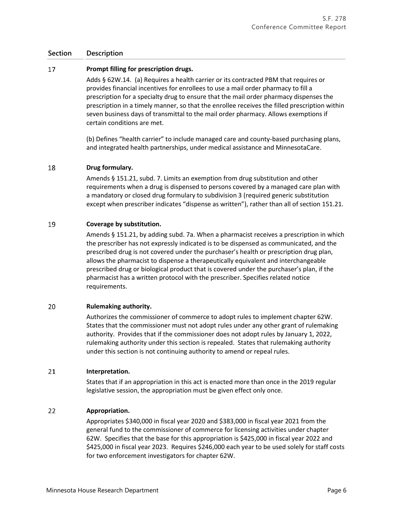#### 17 **Prompt filling for prescription drugs.**

Adds § 62W.14. (a) Requires a health carrier or its contracted PBM that requires or provides financial incentives for enrollees to use a mail order pharmacy to fill a prescription for a specialty drug to ensure that the mail order pharmacy dispenses the prescription in a timely manner, so that the enrollee receives the filled prescription within seven business days of transmittal to the mail order pharmacy. Allows exemptions if certain conditions are met.

(b) Defines "health carrier" to include managed care and county-based purchasing plans, and integrated health partnerships, under medical assistance and MinnesotaCare.

#### 18 **Drug formulary.**

Amends § 151.21, subd. 7. Limits an exemption from drug substitution and other requirements when a drug is dispensed to persons covered by a managed care plan with a mandatory or closed drug formulary to subdivision 3 (required generic substitution except when prescriber indicates "dispense as written"), rather than all of section 151.21.

#### 19 **Coverage by substitution.**

Amends § 151.21, by adding subd. 7a. When a pharmacist receives a prescription in which the prescriber has not expressly indicated is to be dispensed as communicated, and the prescribed drug is not covered under the purchaser's health or prescription drug plan, allows the pharmacist to dispense a therapeutically equivalent and interchangeable prescribed drug or biological product that is covered under the purchaser's plan, if the pharmacist has a written protocol with the prescriber. Specifies related notice requirements.

#### 20 **Rulemaking authority.**

Authorizes the commissioner of commerce to adopt rules to implement chapter 62W. States that the commissioner must not adopt rules under any other grant of rulemaking authority. Provides that if the commissioner does not adopt rules by January 1, 2022, rulemaking authority under this section is repealed. States that rulemaking authority under this section is not continuing authority to amend or repeal rules.

#### 21 **Interpretation.**

States that if an appropriation in this act is enacted more than once in the 2019 regular legislative session, the appropriation must be given effect only once.

#### 22 **Appropriation.**

Appropriates \$340,000 in fiscal year 2020 and \$383,000 in fiscal year 2021 from the general fund to the commissioner of commerce for licensing activities under chapter 62W. Specifies that the base for this appropriation is \$425,000 in fiscal year 2022 and \$425,000 in fiscal year 2023. Requires \$246,000 each year to be used solely for staff costs for two enforcement investigators for chapter 62W.